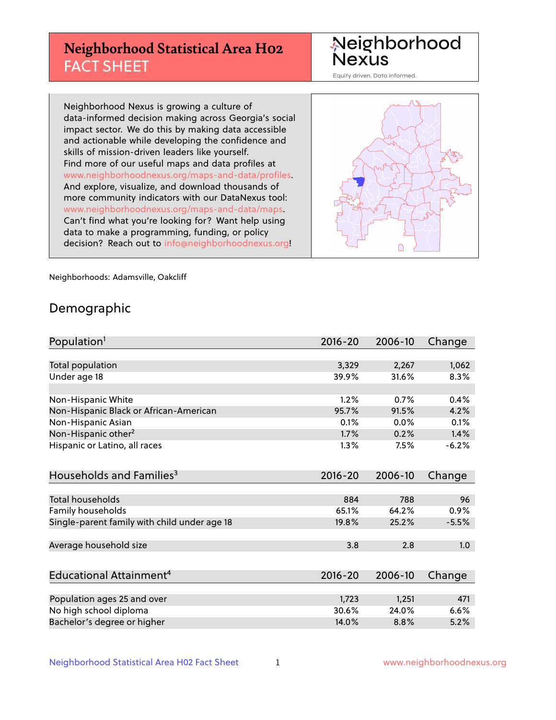# **Neighborhood Statistical Area H02** FACT SHEET

Neighborhood Nexus

Equity driven. Data informed.

Neighborhood Nexus is growing a culture of data-informed decision making across Georgia's social impact sector. We do this by making data accessible and actionable while developing the confidence and skills of mission-driven leaders like yourself. Find more of our useful maps and data profiles at www.neighborhoodnexus.org/maps-and-data/profiles. And explore, visualize, and download thousands of more community indicators with our DataNexus tool: www.neighborhoodnexus.org/maps-and-data/maps. Can't find what you're looking for? Want help using data to make a programming, funding, or policy decision? Reach out to [info@neighborhoodnexus.org!](mailto:info@neighborhoodnexus.org)



Neighborhoods: Adamsville, Oakcliff

### Demographic

| Population <sup>1</sup>                      | $2016 - 20$ | 2006-10 | Change  |
|----------------------------------------------|-------------|---------|---------|
|                                              |             |         |         |
| Total population                             | 3,329       | 2,267   | 1,062   |
| Under age 18                                 | 39.9%       | 31.6%   | 8.3%    |
|                                              |             |         |         |
| Non-Hispanic White                           | 1.2%        | 0.7%    | 0.4%    |
| Non-Hispanic Black or African-American       | 95.7%       | 91.5%   | 4.2%    |
| Non-Hispanic Asian                           | 0.1%        | 0.0%    | 0.1%    |
| Non-Hispanic other <sup>2</sup>              | 1.7%        | 0.2%    | 1.4%    |
| Hispanic or Latino, all races                | 1.3%        | 7.5%    | $-6.2%$ |
| Households and Families <sup>3</sup>         | $2016 - 20$ | 2006-10 | Change  |
|                                              |             |         |         |
| <b>Total households</b>                      | 884         | 788     | 96      |
| Family households                            | 65.1%       | 64.2%   | 0.9%    |
| Single-parent family with child under age 18 | 19.8%       | 25.2%   | $-5.5%$ |
| Average household size                       | 3.8         | 2.8     | 1.0     |
|                                              |             |         |         |
| Educational Attainment <sup>4</sup>          | $2016 - 20$ | 2006-10 | Change  |
|                                              |             |         |         |
| Population ages 25 and over                  | 1,723       | 1,251   | 471     |
| No high school diploma                       | 30.6%       | 24.0%   | 6.6%    |
| Bachelor's degree or higher                  | 14.0%       | 8.8%    | 5.2%    |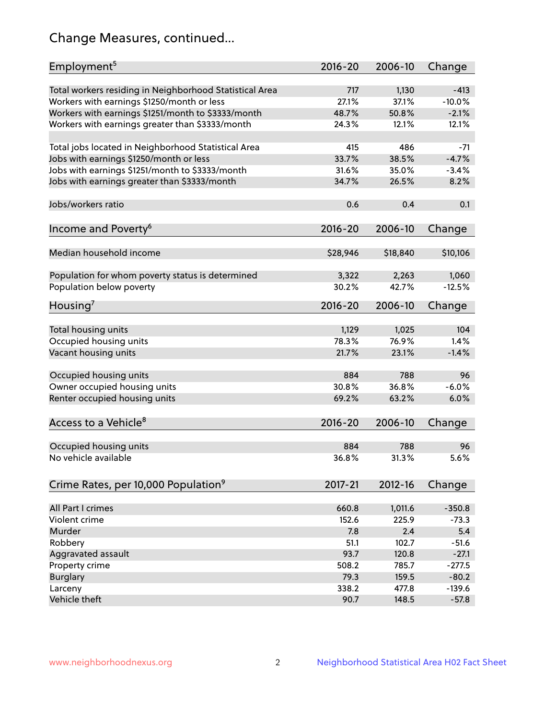# Change Measures, continued...

| Employment <sup>5</sup>                                 | $2016 - 20$  | 2006-10        | Change   |
|---------------------------------------------------------|--------------|----------------|----------|
|                                                         |              |                | $-413$   |
| Total workers residing in Neighborhood Statistical Area | 717<br>27.1% | 1,130<br>37.1% | $-10.0%$ |
| Workers with earnings \$1250/month or less              |              |                |          |
| Workers with earnings \$1251/month to \$3333/month      | 48.7%        | 50.8%          | $-2.1%$  |
| Workers with earnings greater than \$3333/month         | 24.3%        | 12.1%          | 12.1%    |
| Total jobs located in Neighborhood Statistical Area     | 415          | 486            | -71      |
| Jobs with earnings \$1250/month or less                 | 33.7%        | 38.5%          | $-4.7%$  |
| Jobs with earnings \$1251/month to \$3333/month         | 31.6%        | 35.0%          | $-3.4%$  |
| Jobs with earnings greater than \$3333/month            | 34.7%        | 26.5%          | 8.2%     |
|                                                         |              |                |          |
| Jobs/workers ratio                                      | 0.6          | 0.4            | 0.1      |
|                                                         |              |                |          |
| Income and Poverty <sup>6</sup>                         | 2016-20      | 2006-10        | Change   |
| Median household income                                 | \$28,946     | \$18,840       | \$10,106 |
|                                                         |              |                |          |
| Population for whom poverty status is determined        | 3,322        | 2,263          | 1,060    |
| Population below poverty                                | 30.2%        | 42.7%          | $-12.5%$ |
|                                                         |              |                |          |
| Housing <sup>7</sup>                                    | 2016-20      | 2006-10        | Change   |
|                                                         | 1,129        | 1,025          | 104      |
| Total housing units                                     | 78.3%        | 76.9%          | 1.4%     |
| Occupied housing units                                  |              |                |          |
| Vacant housing units                                    | 21.7%        | 23.1%          | $-1.4%$  |
| Occupied housing units                                  | 884          | 788            | 96       |
| Owner occupied housing units                            | 30.8%        | 36.8%          | $-6.0%$  |
| Renter occupied housing units                           | 69.2%        | 63.2%          | 6.0%     |
|                                                         |              |                |          |
| Access to a Vehicle <sup>8</sup>                        | $2016 - 20$  | 2006-10        | Change   |
|                                                         |              |                |          |
| Occupied housing units                                  | 884          | 788            | 96       |
| No vehicle available                                    | 36.8%        | 31.3%          | 5.6%     |
|                                                         |              |                |          |
| Crime Rates, per 10,000 Population <sup>9</sup>         | 2017-21      | 2012-16        | Change   |
|                                                         |              |                |          |
| All Part I crimes                                       | 660.8        | 1,011.6        | $-350.8$ |
| Violent crime                                           | 152.6        | 225.9          | $-73.3$  |
| Murder                                                  | 7.8          | 2.4            | 5.4      |
| Robbery                                                 | 51.1         | 102.7          | $-51.6$  |
| Aggravated assault                                      | 93.7         | 120.8          | $-27.1$  |
| Property crime                                          | 508.2        | 785.7          | $-277.5$ |
| <b>Burglary</b>                                         | 79.3         | 159.5          | $-80.2$  |
| Larceny                                                 | 338.2        | 477.8          | $-139.6$ |
| Vehicle theft                                           | 90.7         | 148.5          | $-57.8$  |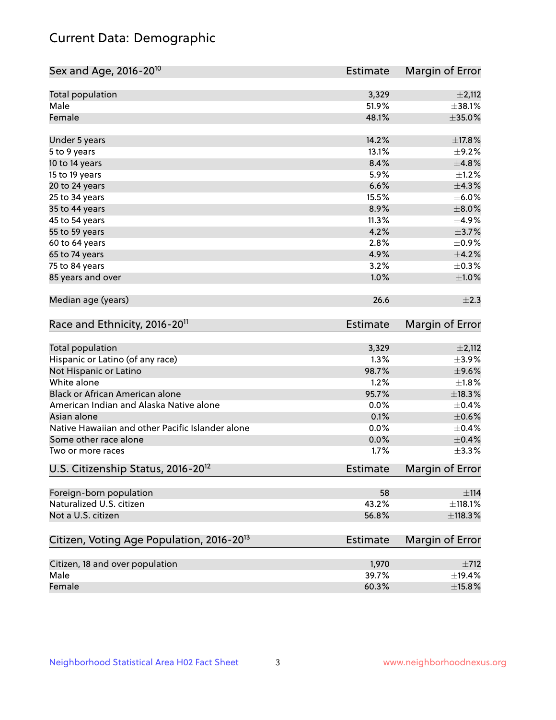# Current Data: Demographic

| Total population<br>3,329<br>$\pm 2,112$<br>Male<br>51.9%<br>Female<br>48.1%<br>14.2%<br>±17.8%<br>Under 5 years<br>13.1%<br>5 to 9 years<br>10 to 14 years<br>8.4%<br>5.9%<br>15 to 19 years<br>6.6%<br>20 to 24 years<br>15.5%<br>25 to 34 years<br>8.9%<br>35 to 44 years<br>11.3%<br>45 to 54 years<br>4.2%<br>55 to 59 years<br>2.8%<br>60 to 64 years<br>65 to 74 years<br>4.9%<br>3.2%<br>75 to 84 years<br>1.0%<br>85 years and over<br>Median age (years)<br>26.6<br>Race and Ethnicity, 2016-20 <sup>11</sup><br><b>Estimate</b><br><b>Total population</b><br>3,329<br>$\pm 2,112$<br>1.3%<br>Hispanic or Latino (of any race)<br>$\pm$ 3.9%<br>$\pm$ 9.6%<br>Not Hispanic or Latino<br>98.7%<br>White alone<br>1.2%<br>$\pm1.8\%$<br>Black or African American alone<br>±18.3%<br>95.7%<br>American Indian and Alaska Native alone<br>0.0%<br>$\pm$ 0.4%<br>Asian alone<br>0.1%<br>$\pm$ 0.6%<br>Native Hawaiian and other Pacific Islander alone<br>0.0%<br>$\pm$ 0.4%<br>Some other race alone<br>0.0%<br>1.7%<br>Two or more races<br>U.S. Citizenship Status, 2016-20 <sup>12</sup><br>Estimate<br>Foreign-born population<br>58<br>$\pm$ 114<br>Naturalized U.S. citizen<br>43.2%<br>±118.1%<br>Not a U.S. citizen<br>56.8%<br>Citizen, Voting Age Population, 2016-20 <sup>13</sup><br>Estimate | Sex and Age, 2016-20 <sup>10</sup> | <b>Estimate</b> | Margin of Error |
|-------------------------------------------------------------------------------------------------------------------------------------------------------------------------------------------------------------------------------------------------------------------------------------------------------------------------------------------------------------------------------------------------------------------------------------------------------------------------------------------------------------------------------------------------------------------------------------------------------------------------------------------------------------------------------------------------------------------------------------------------------------------------------------------------------------------------------------------------------------------------------------------------------------------------------------------------------------------------------------------------------------------------------------------------------------------------------------------------------------------------------------------------------------------------------------------------------------------------------------------------------------------------------------------------------------------|------------------------------------|-----------------|-----------------|
|                                                                                                                                                                                                                                                                                                                                                                                                                                                                                                                                                                                                                                                                                                                                                                                                                                                                                                                                                                                                                                                                                                                                                                                                                                                                                                                   |                                    |                 |                 |
|                                                                                                                                                                                                                                                                                                                                                                                                                                                                                                                                                                                                                                                                                                                                                                                                                                                                                                                                                                                                                                                                                                                                                                                                                                                                                                                   |                                    |                 | ±38.1%          |
|                                                                                                                                                                                                                                                                                                                                                                                                                                                                                                                                                                                                                                                                                                                                                                                                                                                                                                                                                                                                                                                                                                                                                                                                                                                                                                                   |                                    |                 | $\pm$ 35.0%     |
|                                                                                                                                                                                                                                                                                                                                                                                                                                                                                                                                                                                                                                                                                                                                                                                                                                                                                                                                                                                                                                                                                                                                                                                                                                                                                                                   |                                    |                 |                 |
|                                                                                                                                                                                                                                                                                                                                                                                                                                                                                                                                                                                                                                                                                                                                                                                                                                                                                                                                                                                                                                                                                                                                                                                                                                                                                                                   |                                    |                 | $\pm$ 9.2%      |
|                                                                                                                                                                                                                                                                                                                                                                                                                                                                                                                                                                                                                                                                                                                                                                                                                                                                                                                                                                                                                                                                                                                                                                                                                                                                                                                   |                                    |                 | ±4.8%           |
|                                                                                                                                                                                                                                                                                                                                                                                                                                                                                                                                                                                                                                                                                                                                                                                                                                                                                                                                                                                                                                                                                                                                                                                                                                                                                                                   |                                    |                 | $\pm$ 1.2%      |
|                                                                                                                                                                                                                                                                                                                                                                                                                                                                                                                                                                                                                                                                                                                                                                                                                                                                                                                                                                                                                                                                                                                                                                                                                                                                                                                   |                                    |                 | ±4.3%           |
|                                                                                                                                                                                                                                                                                                                                                                                                                                                                                                                                                                                                                                                                                                                                                                                                                                                                                                                                                                                                                                                                                                                                                                                                                                                                                                                   |                                    |                 | $\pm$ 6.0%      |
|                                                                                                                                                                                                                                                                                                                                                                                                                                                                                                                                                                                                                                                                                                                                                                                                                                                                                                                                                                                                                                                                                                                                                                                                                                                                                                                   |                                    |                 | $\pm$ 8.0%      |
|                                                                                                                                                                                                                                                                                                                                                                                                                                                                                                                                                                                                                                                                                                                                                                                                                                                                                                                                                                                                                                                                                                                                                                                                                                                                                                                   |                                    |                 | $\pm$ 4.9%      |
|                                                                                                                                                                                                                                                                                                                                                                                                                                                                                                                                                                                                                                                                                                                                                                                                                                                                                                                                                                                                                                                                                                                                                                                                                                                                                                                   |                                    |                 | $\pm$ 3.7%      |
|                                                                                                                                                                                                                                                                                                                                                                                                                                                                                                                                                                                                                                                                                                                                                                                                                                                                                                                                                                                                                                                                                                                                                                                                                                                                                                                   |                                    |                 | $\pm$ 0.9%      |
|                                                                                                                                                                                                                                                                                                                                                                                                                                                                                                                                                                                                                                                                                                                                                                                                                                                                                                                                                                                                                                                                                                                                                                                                                                                                                                                   |                                    |                 | $\pm$ 4.2%      |
|                                                                                                                                                                                                                                                                                                                                                                                                                                                                                                                                                                                                                                                                                                                                                                                                                                                                                                                                                                                                                                                                                                                                                                                                                                                                                                                   |                                    |                 | $\pm$ 0.3%      |
|                                                                                                                                                                                                                                                                                                                                                                                                                                                                                                                                                                                                                                                                                                                                                                                                                                                                                                                                                                                                                                                                                                                                                                                                                                                                                                                   |                                    |                 | ±1.0%           |
|                                                                                                                                                                                                                                                                                                                                                                                                                                                                                                                                                                                                                                                                                                                                                                                                                                                                                                                                                                                                                                                                                                                                                                                                                                                                                                                   |                                    |                 | $\pm 2.3$       |
|                                                                                                                                                                                                                                                                                                                                                                                                                                                                                                                                                                                                                                                                                                                                                                                                                                                                                                                                                                                                                                                                                                                                                                                                                                                                                                                   |                                    |                 | Margin of Error |
|                                                                                                                                                                                                                                                                                                                                                                                                                                                                                                                                                                                                                                                                                                                                                                                                                                                                                                                                                                                                                                                                                                                                                                                                                                                                                                                   |                                    |                 |                 |
|                                                                                                                                                                                                                                                                                                                                                                                                                                                                                                                                                                                                                                                                                                                                                                                                                                                                                                                                                                                                                                                                                                                                                                                                                                                                                                                   |                                    |                 |                 |
|                                                                                                                                                                                                                                                                                                                                                                                                                                                                                                                                                                                                                                                                                                                                                                                                                                                                                                                                                                                                                                                                                                                                                                                                                                                                                                                   |                                    |                 |                 |
|                                                                                                                                                                                                                                                                                                                                                                                                                                                                                                                                                                                                                                                                                                                                                                                                                                                                                                                                                                                                                                                                                                                                                                                                                                                                                                                   |                                    |                 |                 |
|                                                                                                                                                                                                                                                                                                                                                                                                                                                                                                                                                                                                                                                                                                                                                                                                                                                                                                                                                                                                                                                                                                                                                                                                                                                                                                                   |                                    |                 |                 |
|                                                                                                                                                                                                                                                                                                                                                                                                                                                                                                                                                                                                                                                                                                                                                                                                                                                                                                                                                                                                                                                                                                                                                                                                                                                                                                                   |                                    |                 |                 |
|                                                                                                                                                                                                                                                                                                                                                                                                                                                                                                                                                                                                                                                                                                                                                                                                                                                                                                                                                                                                                                                                                                                                                                                                                                                                                                                   |                                    |                 |                 |
|                                                                                                                                                                                                                                                                                                                                                                                                                                                                                                                                                                                                                                                                                                                                                                                                                                                                                                                                                                                                                                                                                                                                                                                                                                                                                                                   |                                    |                 |                 |
|                                                                                                                                                                                                                                                                                                                                                                                                                                                                                                                                                                                                                                                                                                                                                                                                                                                                                                                                                                                                                                                                                                                                                                                                                                                                                                                   |                                    |                 | $\pm$ 0.4%      |
|                                                                                                                                                                                                                                                                                                                                                                                                                                                                                                                                                                                                                                                                                                                                                                                                                                                                                                                                                                                                                                                                                                                                                                                                                                                                                                                   |                                    |                 | $\pm$ 3.3%      |
|                                                                                                                                                                                                                                                                                                                                                                                                                                                                                                                                                                                                                                                                                                                                                                                                                                                                                                                                                                                                                                                                                                                                                                                                                                                                                                                   |                                    |                 | Margin of Error |
|                                                                                                                                                                                                                                                                                                                                                                                                                                                                                                                                                                                                                                                                                                                                                                                                                                                                                                                                                                                                                                                                                                                                                                                                                                                                                                                   |                                    |                 |                 |
|                                                                                                                                                                                                                                                                                                                                                                                                                                                                                                                                                                                                                                                                                                                                                                                                                                                                                                                                                                                                                                                                                                                                                                                                                                                                                                                   |                                    |                 |                 |
|                                                                                                                                                                                                                                                                                                                                                                                                                                                                                                                                                                                                                                                                                                                                                                                                                                                                                                                                                                                                                                                                                                                                                                                                                                                                                                                   |                                    |                 | ±118.3%         |
|                                                                                                                                                                                                                                                                                                                                                                                                                                                                                                                                                                                                                                                                                                                                                                                                                                                                                                                                                                                                                                                                                                                                                                                                                                                                                                                   |                                    |                 | Margin of Error |
| Citizen, 18 and over population<br>1,970                                                                                                                                                                                                                                                                                                                                                                                                                                                                                                                                                                                                                                                                                                                                                                                                                                                                                                                                                                                                                                                                                                                                                                                                                                                                          |                                    |                 | $\pm 712$       |
| Male<br>39.7%                                                                                                                                                                                                                                                                                                                                                                                                                                                                                                                                                                                                                                                                                                                                                                                                                                                                                                                                                                                                                                                                                                                                                                                                                                                                                                     |                                    |                 | ±19.4%          |
| Female<br>60.3%                                                                                                                                                                                                                                                                                                                                                                                                                                                                                                                                                                                                                                                                                                                                                                                                                                                                                                                                                                                                                                                                                                                                                                                                                                                                                                   |                                    |                 | $\pm$ 15.8%     |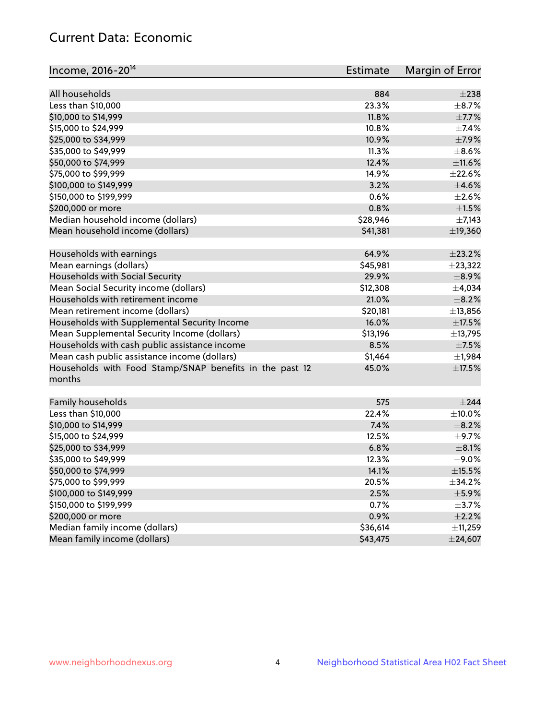# Current Data: Economic

| Income, 2016-20 <sup>14</sup>                           | Estimate | Margin of Error |
|---------------------------------------------------------|----------|-----------------|
| All households                                          | 884      | $\pm 238$       |
| Less than \$10,000                                      | 23.3%    | $\pm$ 8.7%      |
| \$10,000 to \$14,999                                    | 11.8%    | $\pm$ 7.7%      |
| \$15,000 to \$24,999                                    | 10.8%    | $\pm$ 7.4%      |
| \$25,000 to \$34,999                                    | 10.9%    | $\pm$ 7.9%      |
|                                                         | 11.3%    | $\pm$ 8.6%      |
| \$35,000 to \$49,999<br>\$50,000 to \$74,999            | 12.4%    | $\pm$ 11.6%     |
|                                                         |          |                 |
| \$75,000 to \$99,999                                    | 14.9%    | $\pm 22.6\%$    |
| \$100,000 to \$149,999                                  | 3.2%     | $\pm 4.6\%$     |
| \$150,000 to \$199,999                                  | 0.6%     | $\pm 2.6\%$     |
| \$200,000 or more                                       | 0.8%     | $\pm 1.5\%$     |
| Median household income (dollars)                       | \$28,946 | $\pm$ 7,143     |
| Mean household income (dollars)                         | \$41,381 | ±19,360         |
| Households with earnings                                | 64.9%    | $\pm 23.2\%$    |
| Mean earnings (dollars)                                 | \$45,981 | ±23,322         |
| Households with Social Security                         | 29.9%    | $\pm$ 8.9%      |
| Mean Social Security income (dollars)                   | \$12,308 | ±4,034          |
| Households with retirement income                       | 21.0%    | $\pm$ 8.2%      |
| Mean retirement income (dollars)                        | \$20,181 | ±13,856         |
| Households with Supplemental Security Income            | 16.0%    | $\pm$ 17.5%     |
| Mean Supplemental Security Income (dollars)             | \$13,196 | ±13,795         |
| Households with cash public assistance income           | 8.5%     | $\pm$ 7.5%      |
| Mean cash public assistance income (dollars)            | \$1,464  | ±1,984          |
| Households with Food Stamp/SNAP benefits in the past 12 | 45.0%    | $\pm$ 17.5%     |
| months                                                  |          |                 |
|                                                         |          |                 |
| Family households                                       | 575      | ±244            |
| Less than \$10,000                                      | 22.4%    | $\pm$ 10.0%     |
| \$10,000 to \$14,999                                    | 7.4%     | $\pm$ 8.2%      |
| \$15,000 to \$24,999                                    | 12.5%    | $\pm$ 9.7%      |
| \$25,000 to \$34,999                                    | 6.8%     | $\pm$ 8.1%      |
| \$35,000 to \$49,999                                    | 12.3%    | $\pm$ 9.0%      |
| \$50,000 to \$74,999                                    | 14.1%    | $\pm$ 15.5%     |
| \$75,000 to \$99,999                                    | 20.5%    | $\pm$ 34.2%     |
| \$100,000 to \$149,999                                  | 2.5%     | $\pm$ 5.9%      |
| \$150,000 to \$199,999                                  | 0.7%     | $\pm$ 3.7%      |
| \$200,000 or more                                       | 0.9%     | $\pm 2.2\%$     |
| Median family income (dollars)                          | \$36,614 | ±11,259         |
| Mean family income (dollars)                            | \$43,475 | $±$ 24,607      |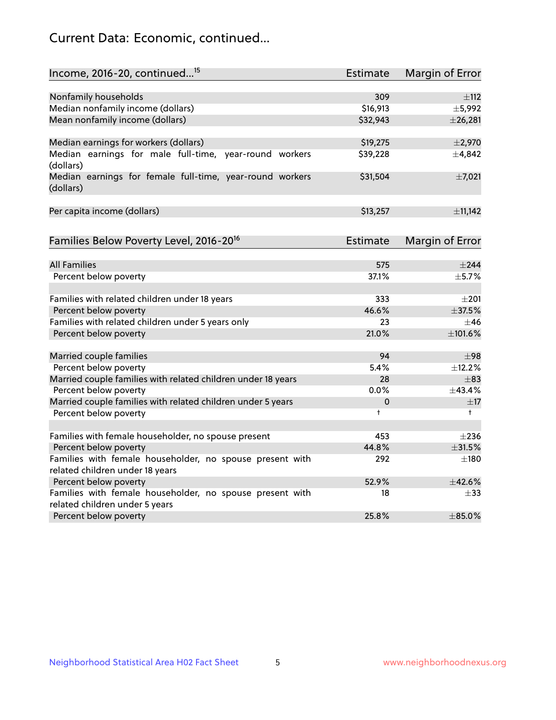# Current Data: Economic, continued...

| Income, 2016-20, continued <sup>15</sup>                                                    | <b>Estimate</b> | <b>Margin of Error</b> |
|---------------------------------------------------------------------------------------------|-----------------|------------------------|
|                                                                                             |                 |                        |
| Nonfamily households                                                                        | 309             | $\pm$ 112              |
| Median nonfamily income (dollars)                                                           | \$16,913        | ±5,992                 |
| Mean nonfamily income (dollars)                                                             | \$32,943        | $±$ 26,281             |
| Median earnings for workers (dollars)                                                       | \$19,275        | $\pm 2,970$            |
| Median earnings for male full-time, year-round workers<br>(dollars)                         | \$39,228        | ±4,842                 |
| Median earnings for female full-time, year-round workers<br>(dollars)                       | \$31,504        | $\pm$ 7,021            |
| Per capita income (dollars)                                                                 | \$13,257        | ±11,142                |
| Families Below Poverty Level, 2016-20 <sup>16</sup>                                         | <b>Estimate</b> | <b>Margin of Error</b> |
|                                                                                             |                 |                        |
| <b>All Families</b>                                                                         | 575             | $\pm 244$              |
| Percent below poverty                                                                       | 37.1%           | ±5.7%                  |
| Families with related children under 18 years                                               | 333             | $\pm 201$              |
| Percent below poverty                                                                       | 46.6%           | ±37.5%                 |
| Families with related children under 5 years only                                           | 23              | $\pm$ 46               |
| Percent below poverty                                                                       | 21.0%           | ±101.6%                |
| Married couple families                                                                     | 94              | $\pm$ 98               |
| Percent below poverty                                                                       | 5.4%            | ±12.2%                 |
| Married couple families with related children under 18 years                                | 28              | $\pm$ 83               |
| Percent below poverty                                                                       | $0.0\%$         | ±43.4%                 |
| Married couple families with related children under 5 years                                 | 0               | $\pm$ 17               |
| Percent below poverty                                                                       | $\ddagger$      | $^+$                   |
|                                                                                             |                 |                        |
| Families with female householder, no spouse present                                         | 453             | $\pm 236$              |
| Percent below poverty                                                                       | 44.8%           | ±31.5%                 |
| Families with female householder, no spouse present with<br>related children under 18 years | 292             | $\pm$ 180              |
| Percent below poverty                                                                       | 52.9%           | ±42.6%                 |
| Families with female householder, no spouse present with                                    | 18              | $\pm$ 33               |
| related children under 5 years                                                              |                 |                        |
| Percent below poverty                                                                       | 25.8%           | $\pm$ 85.0%            |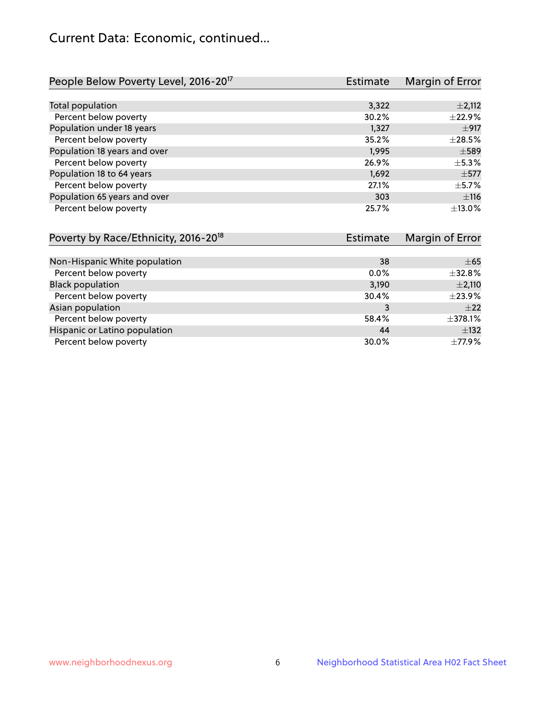# Current Data: Economic, continued...

| People Below Poverty Level, 2016-20 <sup>17</sup> | <b>Estimate</b> | Margin of Error |
|---------------------------------------------------|-----------------|-----------------|
|                                                   |                 |                 |
| Total population                                  | 3,322           | $\pm 2,112$     |
| Percent below poverty                             | 30.2%           | ±22.9%          |
| Population under 18 years                         | 1,327           | $\pm$ 917       |
| Percent below poverty                             | 35.2%           | $\pm 28.5\%$    |
| Population 18 years and over                      | 1,995           | $\pm$ 589       |
| Percent below poverty                             | 26.9%           | $\pm$ 5.3%      |
| Population 18 to 64 years                         | 1,692           | $\pm$ 577       |
| Percent below poverty                             | 27.1%           | $\pm$ 5.7%      |
| Population 65 years and over                      | 303             | ±116            |
| Percent below poverty                             | 25.7%           | ±13.0%          |

| Poverty by Race/Ethnicity, 2016-20 <sup>18</sup> | Estimate | Margin of Error |
|--------------------------------------------------|----------|-----------------|
|                                                  |          |                 |
| Non-Hispanic White population                    | 38       | $\pm 65$        |
| Percent below poverty                            | $0.0\%$  | $\pm$ 32.8%     |
| <b>Black population</b>                          | 3,190    | $\pm 2,110$     |
| Percent below poverty                            | 30.4%    | $\pm$ 23.9%     |
| Asian population                                 | 3        | $\pm 22$        |
| Percent below poverty                            | 58.4%    | ±378.1%         |
| Hispanic or Latino population                    | 44       | $\pm$ 132       |
| Percent below poverty                            | 30.0%    | $\pm$ 77.9%     |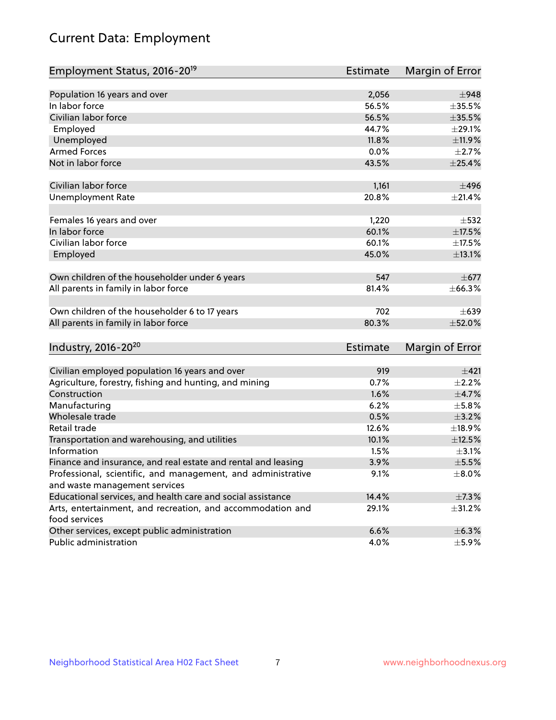# Current Data: Employment

| Employment Status, 2016-20 <sup>19</sup>                                                     | <b>Estimate</b> | Margin of Error |
|----------------------------------------------------------------------------------------------|-----------------|-----------------|
|                                                                                              |                 |                 |
| Population 16 years and over                                                                 | 2,056           | $\pm$ 948       |
| In labor force                                                                               | 56.5%           | $\pm$ 35.5%     |
| Civilian labor force                                                                         | 56.5%           | $\pm$ 35.5%     |
| Employed                                                                                     | 44.7%           | $\pm 29.1\%$    |
| Unemployed                                                                                   | 11.8%           | ±11.9%          |
| <b>Armed Forces</b>                                                                          | 0.0%            | $\pm 2.7\%$     |
| Not in labor force                                                                           | 43.5%           | ±25.4%          |
|                                                                                              |                 |                 |
| Civilian labor force                                                                         | 1,161           | ±496            |
| <b>Unemployment Rate</b>                                                                     | 20.8%           | ±21.4%          |
| Females 16 years and over                                                                    | 1,220           | $\pm$ 532       |
| In labor force                                                                               | 60.1%           | ±17.5%          |
| Civilian labor force                                                                         | 60.1%           | $\pm$ 17.5%     |
| Employed                                                                                     | 45.0%           | $\pm$ 13.1%     |
|                                                                                              |                 |                 |
| Own children of the householder under 6 years                                                | 547             | $\pm$ 677       |
| All parents in family in labor force                                                         | 81.4%           | ±66.3%          |
|                                                                                              |                 |                 |
| Own children of the householder 6 to 17 years                                                | 702             | $\pm 639$       |
| All parents in family in labor force                                                         | 80.3%           | $\pm$ 52.0%     |
|                                                                                              |                 |                 |
| Industry, 2016-20 <sup>20</sup>                                                              | Estimate        | Margin of Error |
| Civilian employed population 16 years and over                                               | 919             | $\pm 421$       |
| Agriculture, forestry, fishing and hunting, and mining                                       | 0.7%            | $\pm 2.2\%$     |
| Construction                                                                                 | 1.6%            | $\pm$ 4.7%      |
| Manufacturing                                                                                | 6.2%            | $\pm$ 5.8%      |
| Wholesale trade                                                                              | 0.5%            | $\pm$ 3.2%      |
| Retail trade                                                                                 | 12.6%           | ±18.9%          |
| Transportation and warehousing, and utilities                                                | 10.1%           | $\pm$ 12.5%     |
| Information                                                                                  | 1.5%            | $\pm$ 3.1%      |
|                                                                                              |                 |                 |
| Finance and insurance, and real estate and rental and leasing                                | 3.9%            | $\pm$ 5.5%      |
| Professional, scientific, and management, and administrative                                 | 9.1%            | $\pm$ 8.0%      |
| and waste management services<br>Educational services, and health care and social assistance | 14.4%           |                 |
|                                                                                              |                 | $\pm$ 7.3%      |
| Arts, entertainment, and recreation, and accommodation and<br>food services                  | 29.1%           | ±31.2%          |
| Other services, except public administration                                                 | 6.6%            | $\pm$ 6.3%      |
| Public administration                                                                        | 4.0%            | $\pm$ 5.9%      |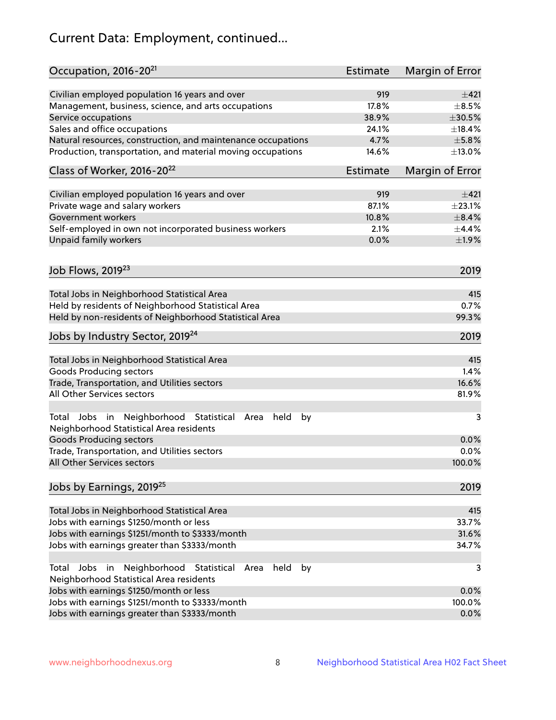# Current Data: Employment, continued...

| Occupation, 2016-20 <sup>21</sup>                                                                       | <b>Estimate</b> | Margin of Error |
|---------------------------------------------------------------------------------------------------------|-----------------|-----------------|
| Civilian employed population 16 years and over                                                          | 919             | ±421            |
| Management, business, science, and arts occupations                                                     | 17.8%           | $\pm$ 8.5%      |
| Service occupations                                                                                     | 38.9%           | $\pm 30.5\%$    |
| Sales and office occupations                                                                            | 24.1%           | ±18.4%          |
| Natural resources, construction, and maintenance occupations                                            | 4.7%            | $\pm$ 5.8%      |
| Production, transportation, and material moving occupations                                             | 14.6%           | ±13.0%          |
| Class of Worker, 2016-20 <sup>22</sup>                                                                  | Estimate        | Margin of Error |
| Civilian employed population 16 years and over                                                          | 919             | ±421            |
| Private wage and salary workers                                                                         | 87.1%           | $\pm 23.1\%$    |
| Government workers                                                                                      | 10.8%           | $\pm$ 8.4%      |
| Self-employed in own not incorporated business workers                                                  | 2.1%            | $\pm$ 4.4%      |
| Unpaid family workers                                                                                   | 0.0%            | ±1.9%           |
| Job Flows, 2019 <sup>23</sup>                                                                           |                 |                 |
|                                                                                                         |                 | 2019            |
| Total Jobs in Neighborhood Statistical Area                                                             |                 | 415             |
| Held by residents of Neighborhood Statistical Area                                                      |                 | 0.7%            |
| Held by non-residents of Neighborhood Statistical Area                                                  |                 | 99.3%           |
|                                                                                                         |                 |                 |
| Jobs by Industry Sector, 2019 <sup>24</sup>                                                             |                 | 2019            |
| Total Jobs in Neighborhood Statistical Area                                                             |                 | 415             |
| <b>Goods Producing sectors</b>                                                                          |                 | 1.4%            |
| Trade, Transportation, and Utilities sectors                                                            |                 | 16.6%           |
| All Other Services sectors                                                                              |                 | 81.9%           |
|                                                                                                         |                 |                 |
| Total Jobs in Neighborhood Statistical<br>held<br>by<br>Area<br>Neighborhood Statistical Area residents |                 | 3               |
| <b>Goods Producing sectors</b>                                                                          |                 | 0.0%            |
| Trade, Transportation, and Utilities sectors                                                            |                 | 0.0%            |
| All Other Services sectors                                                                              |                 | 100.0%          |
| Jobs by Earnings, 2019 <sup>25</sup>                                                                    |                 | 2019            |
| Total Jobs in Neighborhood Statistical Area                                                             |                 | 415             |
| Jobs with earnings \$1250/month or less                                                                 |                 | 33.7%           |
| Jobs with earnings \$1251/month to \$3333/month                                                         |                 | 31.6%           |
| Jobs with earnings greater than \$3333/month                                                            |                 | 34.7%           |
| Neighborhood Statistical<br>Jobs<br>in<br>held<br>by<br>Total<br>Area                                   |                 | 3               |
| Neighborhood Statistical Area residents                                                                 |                 |                 |
| Jobs with earnings \$1250/month or less                                                                 |                 | 0.0%            |
| Jobs with earnings \$1251/month to \$3333/month                                                         |                 | 100.0%          |
| Jobs with earnings greater than \$3333/month                                                            |                 | 0.0%            |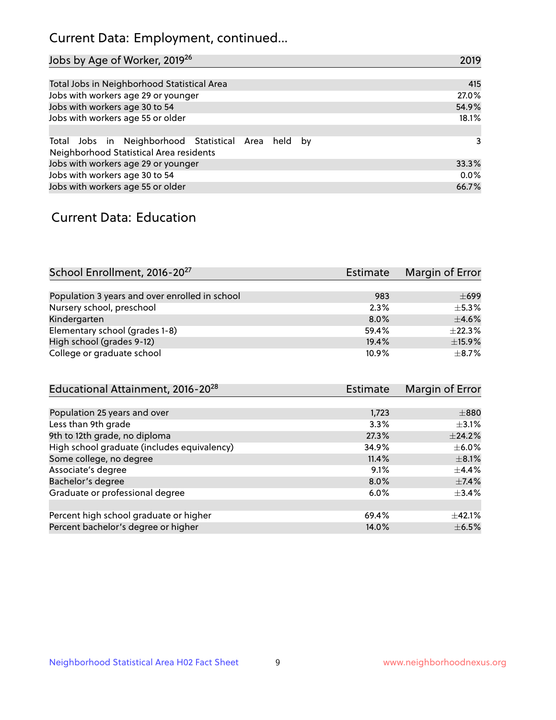# Current Data: Employment, continued...

| Jobs by Age of Worker, 2019 <sup>26</sup>                                                      | 2019  |
|------------------------------------------------------------------------------------------------|-------|
|                                                                                                |       |
| Total Jobs in Neighborhood Statistical Area                                                    | 415   |
| Jobs with workers age 29 or younger                                                            | 27.0% |
| Jobs with workers age 30 to 54                                                                 | 54.9% |
| Jobs with workers age 55 or older                                                              | 18.1% |
|                                                                                                |       |
| Total Jobs in Neighborhood Statistical Area held by<br>Neighborhood Statistical Area residents | 3     |
| Jobs with workers age 29 or younger                                                            | 33.3% |
| Jobs with workers age 30 to 54                                                                 | 0.0%  |
| Jobs with workers age 55 or older                                                              | 66.7% |

### Current Data: Education

| School Enrollment, 2016-20 <sup>27</sup>       | Estimate | Margin of Error |
|------------------------------------------------|----------|-----------------|
|                                                |          |                 |
| Population 3 years and over enrolled in school | 983      | $\pm 699$       |
| Nursery school, preschool                      | 2.3%     | $+5.3%$         |
| Kindergarten                                   | $8.0\%$  | $\pm$ 4.6%      |
| Elementary school (grades 1-8)                 | 59.4%    | $\pm$ 22.3%     |
| High school (grades 9-12)                      | 19.4%    | ±15.9%          |
| College or graduate school                     | 10.9%    | $\pm$ 8.7%      |

| Educational Attainment, 2016-20 <sup>28</sup> | <b>Estimate</b> | Margin of Error |
|-----------------------------------------------|-----------------|-----------------|
|                                               |                 |                 |
| Population 25 years and over                  | 1,723           | $\pm$ 880       |
| Less than 9th grade                           | 3.3%            | $\pm$ 3.1%      |
| 9th to 12th grade, no diploma                 | 27.3%           | ±24.2%          |
| High school graduate (includes equivalency)   | 34.9%           | $\pm$ 6.0%      |
| Some college, no degree                       | 11.4%           | $\pm$ 8.1%      |
| Associate's degree                            | 9.1%            | $\pm$ 4.4%      |
| Bachelor's degree                             | 8.0%            | $\pm$ 7.4%      |
| Graduate or professional degree               | 6.0%            | $\pm$ 3.4%      |
|                                               |                 |                 |
| Percent high school graduate or higher        | 69.4%           | $\pm$ 42.1%     |
| Percent bachelor's degree or higher           | 14.0%           | $\pm$ 6.5%      |
|                                               |                 |                 |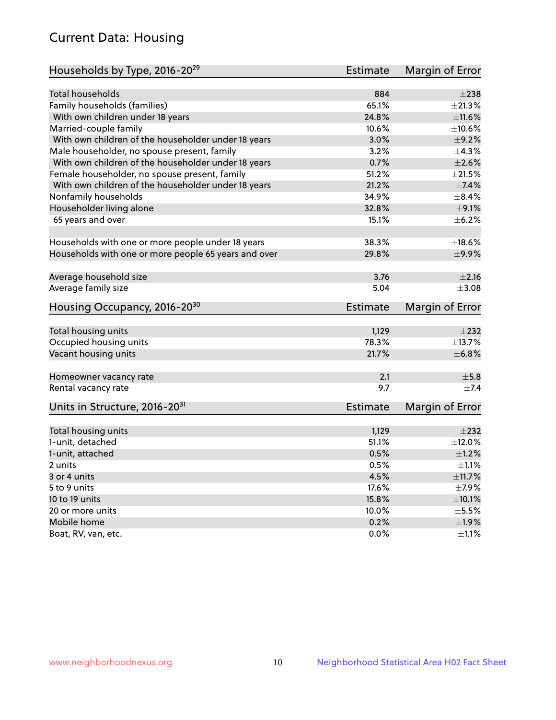# Current Data: Housing

| Households by Type, 2016-20 <sup>29</sup>            | <b>Estimate</b> | Margin of Error |
|------------------------------------------------------|-----------------|-----------------|
|                                                      |                 |                 |
| Total households                                     | 884             | $\pm 238$       |
| Family households (families)                         | 65.1%           | ±21.3%          |
| With own children under 18 years                     | 24.8%           | ±11.6%          |
| Married-couple family                                | 10.6%           | ±10.6%          |
| With own children of the householder under 18 years  | 3.0%            | $\pm$ 9.2%      |
| Male householder, no spouse present, family          | 3.2%            | $\pm$ 4.3%      |
| With own children of the householder under 18 years  | 0.7%            | $\pm 2.6\%$     |
| Female householder, no spouse present, family        | 51.2%           | $\pm 21.5\%$    |
| With own children of the householder under 18 years  | 21.2%           | $\pm$ 7.4%      |
| Nonfamily households                                 | 34.9%           | $\pm$ 8.4%      |
| Householder living alone                             | 32.8%           | $\pm$ 9.1%      |
| 65 years and over                                    | 15.1%           | $\pm$ 6.2%      |
| Households with one or more people under 18 years    | 38.3%           | ±18.6%          |
| Households with one or more people 65 years and over | 29.8%           | ±9.9%           |
|                                                      |                 |                 |
| Average household size                               | 3.76            | $\pm 2.16$      |
| Average family size                                  | 5.04            | $\pm$ 3.08      |
| Housing Occupancy, 2016-20 <sup>30</sup>             | <b>Estimate</b> | Margin of Error |
| Total housing units                                  | 1,129           | $\pm 232$       |
| Occupied housing units                               | 78.3%           | ±13.7%          |
| Vacant housing units                                 | 21.7%           | ±6.8%           |
|                                                      |                 |                 |
| Homeowner vacancy rate                               | 2.1             | $\pm$ 5.8       |
| Rental vacancy rate                                  | 9.7             | $+7.4$          |
| Units in Structure, 2016-20 <sup>31</sup>            | Estimate        | Margin of Error |
|                                                      |                 |                 |
| Total housing units                                  | 1,129           | $\pm 232$       |
| 1-unit, detached                                     | 51.1%           | $\pm$ 12.0%     |
| 1-unit, attached                                     | 0.5%            | $\pm 1.2\%$     |
| 2 units                                              | 0.5%            | $\pm 1.1\%$     |
| 3 or 4 units                                         | 4.5%            | ±11.7%          |
| 5 to 9 units                                         | 17.6%           | $\pm$ 7.9%      |
| 10 to 19 units                                       | 15.8%           | $\pm$ 10.1%     |
| 20 or more units                                     | 10.0%           | $\pm$ 5.5%      |
| Mobile home                                          | 0.2%            | ±1.9%           |
| Boat, RV, van, etc.                                  | $0.0\%$         | $\pm 1.1\%$     |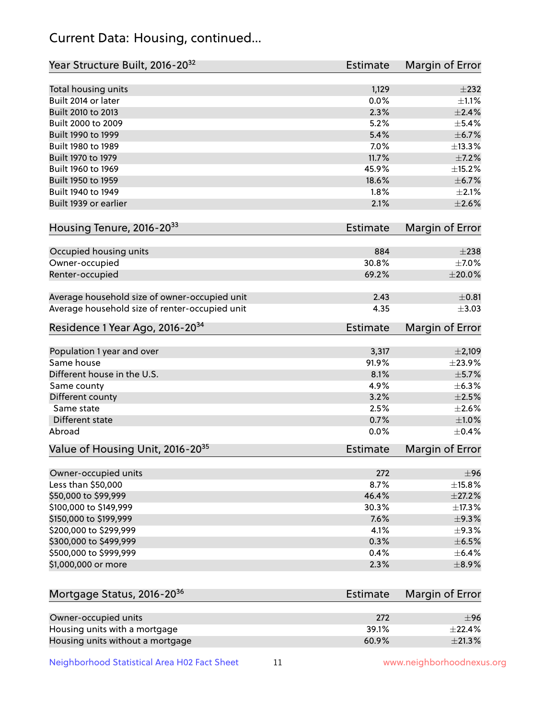# Current Data: Housing, continued...

| Year Structure Built, 2016-20 <sup>32</sup>    | <b>Estimate</b> | Margin of Error            |
|------------------------------------------------|-----------------|----------------------------|
| Total housing units                            | 1,129           | $\pm 232$                  |
| Built 2014 or later                            | 0.0%            | $\pm 1.1\%$                |
| Built 2010 to 2013                             | 2.3%            | $\pm 2.4\%$                |
| Built 2000 to 2009                             | 5.2%            | $\pm$ 5.4%                 |
| Built 1990 to 1999                             | 5.4%            | $\pm$ 6.7%                 |
| Built 1980 to 1989                             | 7.0%            | ±13.3%                     |
| Built 1970 to 1979                             | 11.7%           | $\pm$ 7.2%                 |
| Built 1960 to 1969                             | 45.9%           | ±15.2%                     |
| Built 1950 to 1959                             | 18.6%           | $\pm$ 6.7%                 |
| Built 1940 to 1949                             | 1.8%            | $\pm 2.1\%$                |
| Built 1939 or earlier                          | 2.1%            | $\pm 2.6\%$                |
|                                                |                 |                            |
| Housing Tenure, 2016-2033                      | <b>Estimate</b> | Margin of Error            |
| Occupied housing units                         | 884             | $\pm 238$                  |
|                                                | 30.8%           |                            |
| Owner-occupied                                 |                 | $\pm$ 7.0%<br>$\pm 20.0\%$ |
| Renter-occupied                                | 69.2%           |                            |
| Average household size of owner-occupied unit  | 2.43            | $\pm 0.81$                 |
| Average household size of renter-occupied unit | 4.35            | $\pm$ 3.03                 |
| Residence 1 Year Ago, 2016-20 <sup>34</sup>    | <b>Estimate</b> | Margin of Error            |
|                                                |                 |                            |
| Population 1 year and over                     | 3,317           | $\pm 2,109$                |
| Same house                                     | 91.9%           | ±23.9%                     |
| Different house in the U.S.                    | 8.1%            | $\pm$ 5.7%                 |
| Same county                                    | 4.9%            | ±6.3%                      |
| Different county                               | 3.2%            | $\pm 2.5\%$                |
| Same state                                     | 2.5%            | $\pm 2.6\%$                |
| <b>Different state</b>                         | 0.7%            | $\pm 1.0\%$                |
| Abroad                                         | 0.0%            | $\pm$ 0.4%                 |
| Value of Housing Unit, 2016-20 <sup>35</sup>   | <b>Estimate</b> | Margin of Error            |
|                                                |                 |                            |
| Owner-occupied units                           | 272             | $\pm$ 96                   |
| Less than \$50,000                             | 8.7%            | $\pm$ 15.8%                |
| \$50,000 to \$99,999                           | 46.4%           | $\pm 27.2\%$               |
| \$100,000 to \$149,999                         | 30.3%           | ±17.3%                     |
| \$150,000 to \$199,999                         | 7.6%            | ±9.3%                      |
| \$200,000 to \$299,999                         | 4.1%            | $\pm$ 9.3%                 |
| \$300,000 to \$499,999                         | 0.3%            | $\pm$ 6.5%                 |
| \$500,000 to \$999,999                         | 0.4%            | $\pm$ 6.4%                 |
| \$1,000,000 or more                            | 2.3%            | $\pm$ 8.9%                 |
| Mortgage Status, 2016-20 <sup>36</sup>         | <b>Estimate</b> | Margin of Error            |
|                                                |                 |                            |
| Owner-occupied units                           | 272             | $\pm$ 96                   |
| Housing units with a mortgage                  | 39.1%           | ±22.4%                     |
| Housing units without a mortgage               | 60.9%           | ±21.3%                     |

Neighborhood Statistical Area H02 Fact Sheet 11 11 www.neighborhoodnexus.org

Housing units without a mortgage 60.9%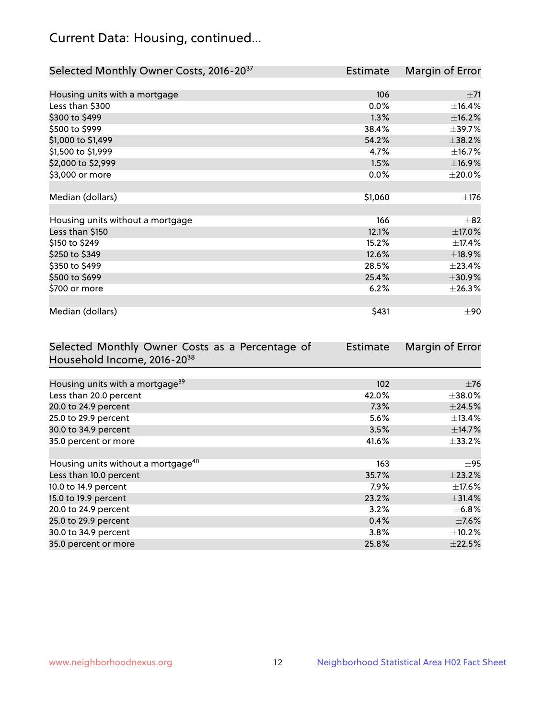# Current Data: Housing, continued...

| Selected Monthly Owner Costs, 2016-20 <sup>37</sup> | Estimate | Margin of Error |
|-----------------------------------------------------|----------|-----------------|
|                                                     |          |                 |
| Housing units with a mortgage                       | 106      | ±71             |
| Less than \$300                                     | 0.0%     | ±16.4%          |
| \$300 to \$499                                      | 1.3%     | ±16.2%          |
| \$500 to \$999                                      | 38.4%    | ±39.7%          |
| \$1,000 to \$1,499                                  | 54.2%    | ±38.2%          |
| \$1,500 to \$1,999                                  | 4.7%     | ±16.7%          |
| \$2,000 to \$2,999                                  | 1.5%     | ±16.9%          |
| \$3,000 or more                                     | 0.0%     | $\pm 20.0\%$    |
|                                                     |          |                 |
| Median (dollars)                                    | \$1,060  | $\pm$ 176       |
|                                                     |          |                 |
| Housing units without a mortgage                    | 166      | $\pm$ 82        |
| Less than \$150                                     | 12.1%    | $\pm$ 17.0%     |
| \$150 to \$249                                      | 15.2%    | ±17.4%          |
| \$250 to \$349                                      | 12.6%    | ±18.9%          |
| \$350 to \$499                                      | 28.5%    | ±23.4%          |
| \$500 to \$699                                      | 25.4%    | $\pm 30.9\%$    |
| \$700 or more                                       | 6.2%     | ±26.3%          |
|                                                     |          |                 |
| Median (dollars)                                    | \$431    | $\pm 90$        |

| Selected Monthly Owner Costs as a Percentage of | <b>Estimate</b> | Margin of Error |
|-------------------------------------------------|-----------------|-----------------|
| Household Income, 2016-20 <sup>38</sup>         |                 |                 |
|                                                 |                 |                 |
| Housing units with a mortgage <sup>39</sup>     | 102             | $\pm 76$        |
| Less than 20.0 percent                          | 42.0%           | $\pm$ 38.0%     |
| 20.0 to 24.9 percent                            | 7.3%            | ±24.5%          |
| 25.0 to 29.9 percent                            | 5.6%            | $\pm$ 13.4%     |
| 30.0 to 34.9 percent                            | 3.5%            | ±14.7%          |
| 35.0 percent or more                            | 41.6%           | $\pm$ 33.2%     |
|                                                 |                 |                 |
| Housing units without a mortgage <sup>40</sup>  | 163             | $\pm$ 95        |
| Less than 10.0 percent                          | 35.7%           | ±23.2%          |
| 10.0 to 14.9 percent                            | 7.9%            | $\pm$ 17.6%     |
| 15.0 to 19.9 percent                            | 23.2%           | ±31.4%          |
| 20.0 to 24.9 percent                            | 3.2%            | $\pm$ 6.8%      |
| 25.0 to 29.9 percent                            | 0.4%            | $\pm$ 7.6%      |
| 30.0 to 34.9 percent                            | $3.8\%$         | $\pm$ 10.2%     |
| 35.0 percent or more                            | 25.8%           | $\pm$ 22.5%     |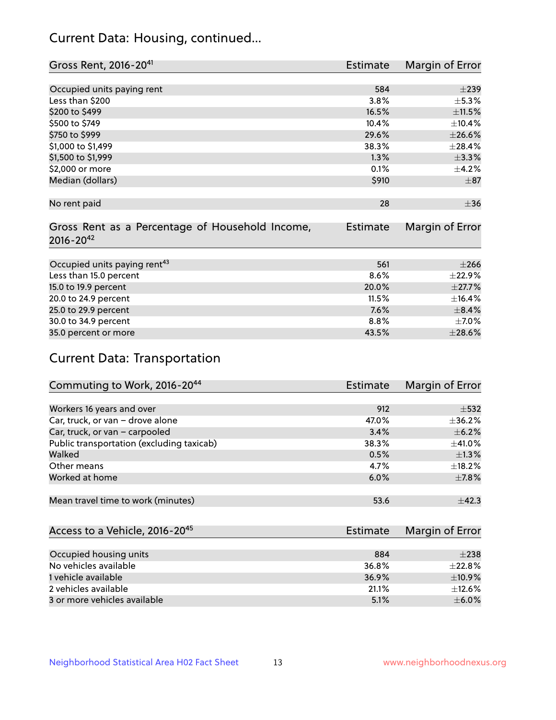# Current Data: Housing, continued...

| Gross Rent, 2016-20 <sup>41</sup>               | <b>Estimate</b> | Margin of Error |
|-------------------------------------------------|-----------------|-----------------|
|                                                 |                 |                 |
| Occupied units paying rent                      | 584             | $\pm 239$       |
| Less than \$200                                 | 3.8%            | ±5.3%           |
| \$200 to \$499                                  | 16.5%           | ±11.5%          |
| \$500 to \$749                                  | 10.4%           | ±10.4%          |
| \$750 to \$999                                  | 29.6%           | $\pm 26.6\%$    |
| \$1,000 to \$1,499                              | 38.3%           | ±28.4%          |
| \$1,500 to \$1,999                              | 1.3%            | ±3.3%           |
| \$2,000 or more                                 | 0.1%            | ±4.2%           |
| Median (dollars)                                | \$910           | $\pm$ 87        |
|                                                 |                 |                 |
| No rent paid                                    | 28              | $\pm$ 36        |
|                                                 |                 |                 |
| Gross Rent as a Percentage of Household Income, | Estimate        | Margin of Error |
| $2016 - 20^{42}$                                |                 |                 |
|                                                 |                 |                 |
| Occupied units paying rent <sup>43</sup>        | 561             | $\pm 266$       |
| Less than 15.0 percent                          | 8.6%            | ±22.9%          |
| 15.0 to 19.9 percent                            | 20.0%           | ±27.7%          |
| 20.0 to 24.9 percent                            | 11.5%           | ±16.4%          |
| 25.0 to 29.9 percent                            | 7.6%            | $\pm$ 8.4%      |
| 30.0 to 34.9 percent                            | 8.8%            | $\pm$ 7.0%      |
| 35.0 percent or more                            | 43.5%           | $\pm 28.6\%$    |

# Current Data: Transportation

| Commuting to Work, 2016-20 <sup>44</sup>  | Estimate | Margin of Error |
|-------------------------------------------|----------|-----------------|
|                                           |          |                 |
| Workers 16 years and over                 | 912      | $\pm$ 532       |
| Car, truck, or van - drove alone          | 47.0%    | $\pm$ 36.2%     |
| Car, truck, or van - carpooled            | 3.4%     | $\pm$ 6.2%      |
| Public transportation (excluding taxicab) | 38.3%    | $\pm$ 41.0%     |
| Walked                                    | 0.5%     | $\pm 1.3\%$     |
| Other means                               | 4.7%     | $\pm$ 18.2%     |
| Worked at home                            | 6.0%     | $\pm$ 7.8%      |
|                                           |          |                 |
| Mean travel time to work (minutes)        | 53.6     | $\pm$ 42.3      |

| Access to a Vehicle, 2016-20 <sup>45</sup> | Estimate | Margin of Error |
|--------------------------------------------|----------|-----------------|
|                                            |          |                 |
| Occupied housing units                     | 884      | $+238$          |
| No vehicles available                      | 36.8%    | $+22.8%$        |
| 1 vehicle available                        | 36.9%    | $\pm$ 10.9%     |
| 2 vehicles available                       | 21.1%    | $+12.6%$        |
| 3 or more vehicles available               | 5.1%     | $+6.0%$         |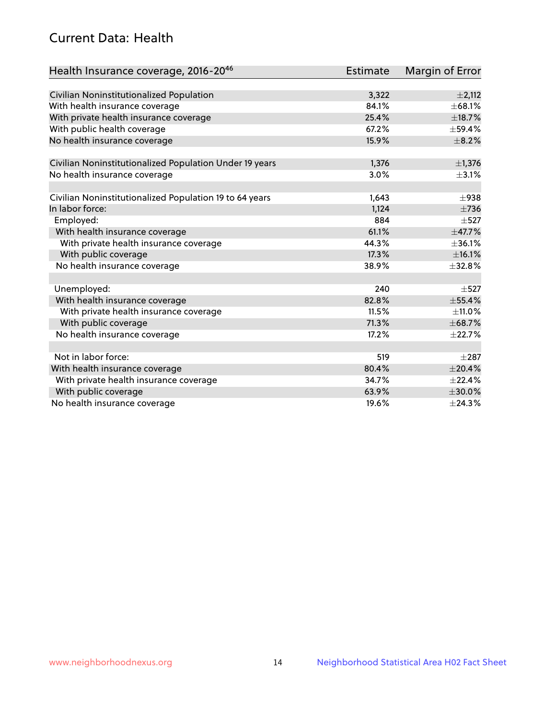# Current Data: Health

| Health Insurance coverage, 2016-2046                    | <b>Estimate</b> | Margin of Error |
|---------------------------------------------------------|-----------------|-----------------|
|                                                         |                 |                 |
| Civilian Noninstitutionalized Population                | 3,322           | $\pm 2,112$     |
| With health insurance coverage                          | 84.1%           | ±68.1%          |
| With private health insurance coverage                  | 25.4%           | ±18.7%          |
| With public health coverage                             | 67.2%           | $\pm$ 59.4%     |
| No health insurance coverage                            | 15.9%           | $\pm$ 8.2%      |
|                                                         |                 |                 |
| Civilian Noninstitutionalized Population Under 19 years | 1,376           | $\pm$ 1,376     |
| No health insurance coverage                            | 3.0%            | $\pm$ 3.1%      |
| Civilian Noninstitutionalized Population 19 to 64 years | 1,643           | $\pm$ 938       |
| In labor force:                                         | 1,124           | $\pm 736$       |
| Employed:                                               | 884             | $\pm$ 527       |
| With health insurance coverage                          | 61.1%           | ±47.7%          |
| With private health insurance coverage                  | 44.3%           | ±36.1%          |
| With public coverage                                    | 17.3%           | ±16.1%          |
| No health insurance coverage                            | 38.9%           | ±32.8%          |
|                                                         |                 |                 |
| Unemployed:                                             | 240             | $\pm$ 527       |
| With health insurance coverage                          | 82.8%           | ±55.4%          |
| With private health insurance coverage                  | 11.5%           | $\pm$ 11.0%     |
| With public coverage                                    | 71.3%           | ±68.7%          |
| No health insurance coverage                            | 17.2%           | ±22.7%          |
|                                                         |                 |                 |
| Not in labor force:                                     | 519             | $\pm 287$       |
| With health insurance coverage                          | 80.4%           | ±20.4%          |
| With private health insurance coverage                  | 34.7%           | $\pm$ 22.4%     |
| With public coverage                                    | 63.9%           | $\pm 30.0\%$    |
| No health insurance coverage                            | 19.6%           | ±24.3%          |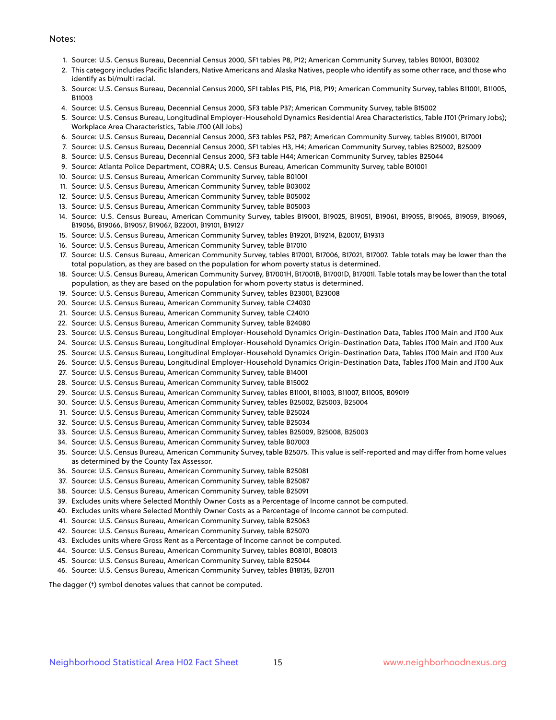#### Notes:

- 1. Source: U.S. Census Bureau, Decennial Census 2000, SF1 tables P8, P12; American Community Survey, tables B01001, B03002
- 2. This category includes Pacific Islanders, Native Americans and Alaska Natives, people who identify as some other race, and those who identify as bi/multi racial.
- 3. Source: U.S. Census Bureau, Decennial Census 2000, SF1 tables P15, P16, P18, P19; American Community Survey, tables B11001, B11005, B11003
- 4. Source: U.S. Census Bureau, Decennial Census 2000, SF3 table P37; American Community Survey, table B15002
- 5. Source: U.S. Census Bureau, Longitudinal Employer-Household Dynamics Residential Area Characteristics, Table JT01 (Primary Jobs); Workplace Area Characteristics, Table JT00 (All Jobs)
- 6. Source: U.S. Census Bureau, Decennial Census 2000, SF3 tables P52, P87; American Community Survey, tables B19001, B17001
- 7. Source: U.S. Census Bureau, Decennial Census 2000, SF1 tables H3, H4; American Community Survey, tables B25002, B25009
- 8. Source: U.S. Census Bureau, Decennial Census 2000, SF3 table H44; American Community Survey, tables B25044
- 9. Source: Atlanta Police Department, COBRA; U.S. Census Bureau, American Community Survey, table B01001
- 10. Source: U.S. Census Bureau, American Community Survey, table B01001
- 11. Source: U.S. Census Bureau, American Community Survey, table B03002
- 12. Source: U.S. Census Bureau, American Community Survey, table B05002
- 13. Source: U.S. Census Bureau, American Community Survey, table B05003
- 14. Source: U.S. Census Bureau, American Community Survey, tables B19001, B19025, B19051, B19061, B19055, B19065, B19059, B19069, B19056, B19066, B19057, B19067, B22001, B19101, B19127
- 15. Source: U.S. Census Bureau, American Community Survey, tables B19201, B19214, B20017, B19313
- 16. Source: U.S. Census Bureau, American Community Survey, table B17010
- 17. Source: U.S. Census Bureau, American Community Survey, tables B17001, B17006, B17021, B17007. Table totals may be lower than the total population, as they are based on the population for whom poverty status is determined.
- 18. Source: U.S. Census Bureau, American Community Survey, B17001H, B17001B, B17001D, B17001I. Table totals may be lower than the total population, as they are based on the population for whom poverty status is determined.
- 19. Source: U.S. Census Bureau, American Community Survey, tables B23001, B23008
- 20. Source: U.S. Census Bureau, American Community Survey, table C24030
- 21. Source: U.S. Census Bureau, American Community Survey, table C24010
- 22. Source: U.S. Census Bureau, American Community Survey, table B24080
- 23. Source: U.S. Census Bureau, Longitudinal Employer-Household Dynamics Origin-Destination Data, Tables JT00 Main and JT00 Aux
- 24. Source: U.S. Census Bureau, Longitudinal Employer-Household Dynamics Origin-Destination Data, Tables JT00 Main and JT00 Aux
- 25. Source: U.S. Census Bureau, Longitudinal Employer-Household Dynamics Origin-Destination Data, Tables JT00 Main and JT00 Aux
- 26. Source: U.S. Census Bureau, Longitudinal Employer-Household Dynamics Origin-Destination Data, Tables JT00 Main and JT00 Aux
- 27. Source: U.S. Census Bureau, American Community Survey, table B14001
- 28. Source: U.S. Census Bureau, American Community Survey, table B15002
- 29. Source: U.S. Census Bureau, American Community Survey, tables B11001, B11003, B11007, B11005, B09019
- 30. Source: U.S. Census Bureau, American Community Survey, tables B25002, B25003, B25004
- 31. Source: U.S. Census Bureau, American Community Survey, table B25024
- 32. Source: U.S. Census Bureau, American Community Survey, table B25034
- 33. Source: U.S. Census Bureau, American Community Survey, tables B25009, B25008, B25003
- 34. Source: U.S. Census Bureau, American Community Survey, table B07003
- 35. Source: U.S. Census Bureau, American Community Survey, table B25075. This value is self-reported and may differ from home values as determined by the County Tax Assessor.
- 36. Source: U.S. Census Bureau, American Community Survey, table B25081
- 37. Source: U.S. Census Bureau, American Community Survey, table B25087
- 38. Source: U.S. Census Bureau, American Community Survey, table B25091
- 39. Excludes units where Selected Monthly Owner Costs as a Percentage of Income cannot be computed.
- 40. Excludes units where Selected Monthly Owner Costs as a Percentage of Income cannot be computed.
- 41. Source: U.S. Census Bureau, American Community Survey, table B25063
- 42. Source: U.S. Census Bureau, American Community Survey, table B25070
- 43. Excludes units where Gross Rent as a Percentage of Income cannot be computed.
- 44. Source: U.S. Census Bureau, American Community Survey, tables B08101, B08013
- 45. Source: U.S. Census Bureau, American Community Survey, table B25044
- 46. Source: U.S. Census Bureau, American Community Survey, tables B18135, B27011

The dagger (†) symbol denotes values that cannot be computed.